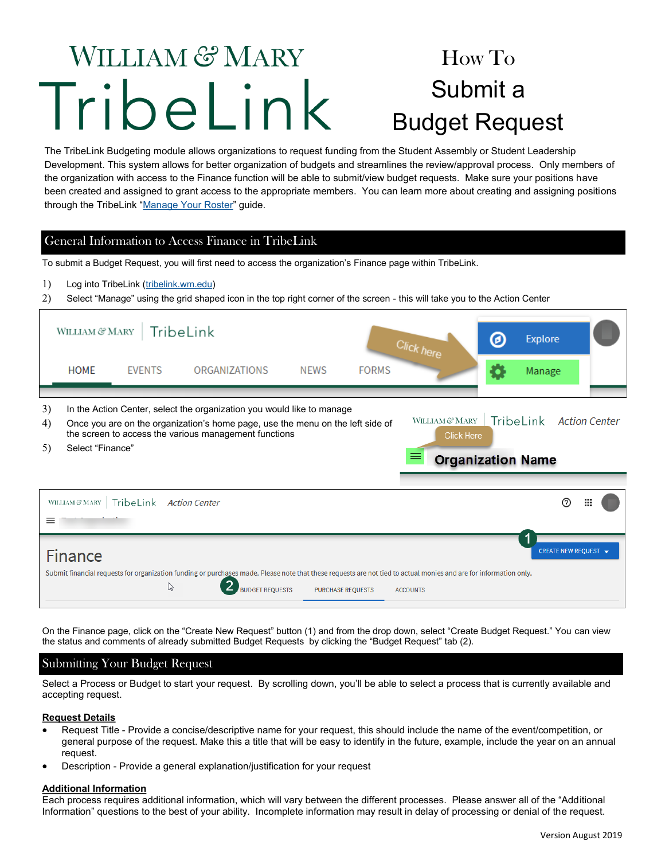# **WILLIAM & MARY** TribeLink

# How To Submit a Budget Request

The TribeLink Budgeting module allows organizations to request funding from the Student Assembly or Student Leadership Development. This system allows for better organization of budgets and streamlines the review/approval process. Only members of the organization with access to the Finance function will be able to submit/view budget requests. Make sure your positions have been created and assigned to grant access to the appropriate members. You can learn more about creating and assigning positions through the TribeLink "[Manage Your Roster"](https://www.wm.edu/offices/studentleadershipdevelopment/documents/tribelink/tl-manage-roster.pdf) guide.

## General Information to Access Finance in TribeLink

To submit a Budget Request, you will first need to access the organization's Finance page within TribeLink.

Log into TribeLink [\(tribelink.wm.edu\)](tribelink.wm.edu)

Select "Manage" using the grid shaped icon in the top right corner of the screen - this will take you to the Action Center

|                                                                                                                                                                                                                                                         | WILLIAM & MARY                          |               | TribeLink            |             |              | <b>Click here</b>                                                    | ◎ | <b>Explore</b>          |   |
|---------------------------------------------------------------------------------------------------------------------------------------------------------------------------------------------------------------------------------------------------------|-----------------------------------------|---------------|----------------------|-------------|--------------|----------------------------------------------------------------------|---|-------------------------|---|
|                                                                                                                                                                                                                                                         | <b>HOME</b>                             | <b>EVENTS</b> | <b>ORGANIZATIONS</b> | <b>NEWS</b> | <b>FORMS</b> |                                                                      |   | Manage                  |   |
| 3)<br>In the Action Center, select the organization you would like to manage<br>4)<br>Once you are on the organization's home page, use the menu on the left side of<br>the screen to access the various management functions<br>5)<br>Select "Finance" |                                         |               |                      |             |              | WILLIAM & MARY<br><b>Click Here</b><br>⋿<br><b>Organization Name</b> |   | TribeLink Action Center |   |
|                                                                                                                                                                                                                                                         | WILLIAM $\mathcal C\!\!\mathcal C$ MARY | TribeLink     | <b>Action Center</b> |             |              |                                                                      |   | ි                       | ш |
| ≡                                                                                                                                                                                                                                                       |                                         |               |                      |             |              |                                                                      |   |                         |   |

On the Finance page, click on the "Create New Request" button (1) and from the drop down, select "Create Budget Request." You can view the status and comments of already submitted Budget Requests by clicking the "Budget Request" tab (2).

### Submitting Your Budget Request

Select a Process or Budget to start your request. By scrolling down, you'll be able to select a process that is currently available and accepting request.

#### **Request Details**

- Request Title Provide a concise/descriptive name for your request, this should include the name of the event/competition, or general purpose of the request. Make this a title that will be easy to identify in the future, example, include the year on an annual request.
- Description Provide a general explanation/justification for your request

#### **Additional Information**

Each process requires additional information, which will vary between the different processes. Please answer all of the "Additional Information" questions to the best of your ability. Incomplete information may result in delay of processing or denial of the request.